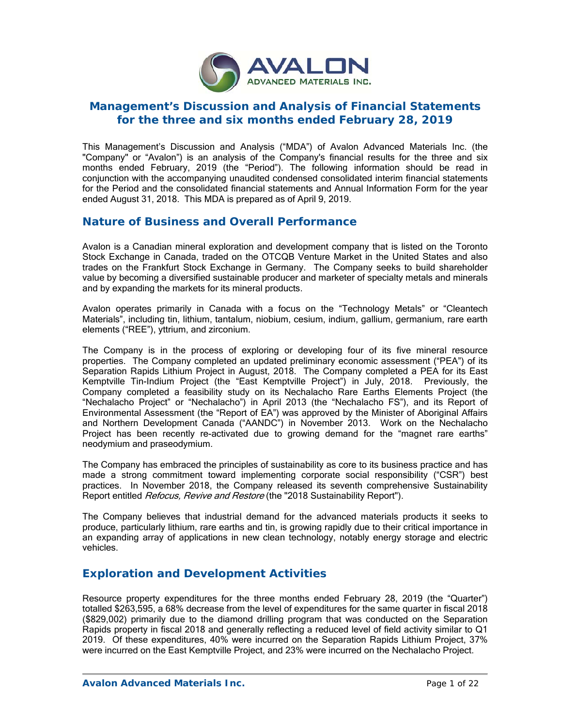

# **Management's Discussion and Analysis of Financial Statements for the three and six months ended February 28, 2019**

This Management's Discussion and Analysis ("MDA") of Avalon Advanced Materials Inc. (the "Company" or "Avalon") is an analysis of the Company's financial results for the three and six months ended February, 2019 (the "Period"). The following information should be read in conjunction with the accompanying unaudited condensed consolidated interim financial statements for the Period and the consolidated financial statements and Annual Information Form for the year ended August 31, 2018. This MDA is prepared as of April 9, 2019.

# **Nature of Business and Overall Performance**

Avalon is a Canadian mineral exploration and development company that is listed on the Toronto Stock Exchange in Canada, traded on the OTCQB Venture Market in the United States and also trades on the Frankfurt Stock Exchange in Germany. The Company seeks to build shareholder value by becoming a diversified sustainable producer and marketer of specialty metals and minerals and by expanding the markets for its mineral products.

Avalon operates primarily in Canada with a focus on the "Technology Metals" or "Cleantech Materials", including tin, lithium, tantalum, niobium, cesium, indium, gallium, germanium, rare earth elements ("REE"), yttrium, and zirconium.

The Company is in the process of exploring or developing four of its five mineral resource properties. The Company completed an updated preliminary economic assessment ("PEA") of its Separation Rapids Lithium Project in August, 2018. The Company completed a PEA for its East Kemptville Tin-Indium Project (the "East Kemptville Project") in July, 2018. Previously, the Company completed a feasibility study on its Nechalacho Rare Earths Elements Project (the "Nechalacho Project" or "Nechalacho") in April 2013 (the "Nechalacho FS"), and its Report of Environmental Assessment (the "Report of EA") was approved by the Minister of Aboriginal Affairs and Northern Development Canada ("AANDC") in November 2013. Work on the Nechalacho Project has been recently re-activated due to growing demand for the "magnet rare earths" neodymium and praseodymium.

The Company has embraced the principles of sustainability as core to its business practice and has made a strong commitment toward implementing corporate social responsibility ("CSR") best practices. In November 2018, the Company released its seventh comprehensive Sustainability Report entitled *Refocus, Revive and Restore* (the "2018 Sustainability Report").

The Company believes that industrial demand for the advanced materials products it seeks to produce, particularly lithium, rare earths and tin, is growing rapidly due to their critical importance in an expanding array of applications in new clean technology, notably energy storage and electric vehicles.

# **Exploration and Development Activities**

Resource property expenditures for the three months ended February 28, 2019 (the "Quarter") totalled \$263,595, a 68% decrease from the level of expenditures for the same quarter in fiscal 2018 (\$829,002) primarily due to the diamond drilling program that was conducted on the Separation Rapids property in fiscal 2018 and generally reflecting a reduced level of field activity similar to Q1 2019. Of these expenditures, 40% were incurred on the Separation Rapids Lithium Project, 37% were incurred on the East Kemptville Project, and 23% were incurred on the Nechalacho Project.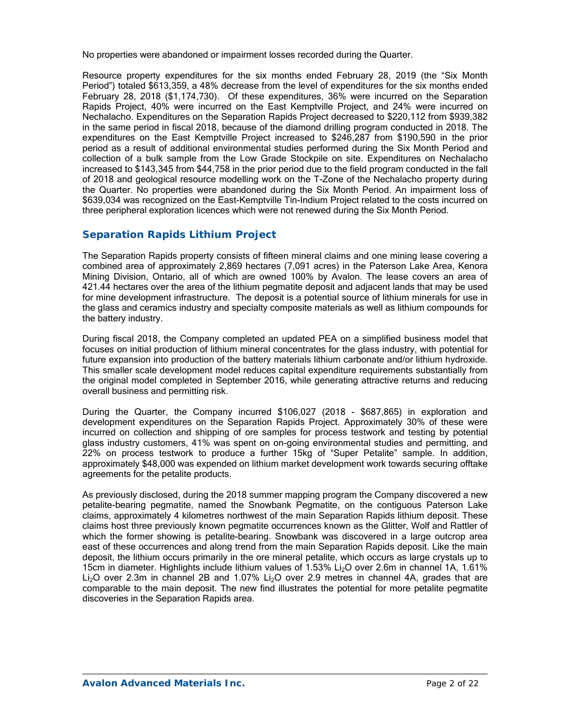No properties were abandoned or impairment losses recorded during the Quarter.

Resource property expenditures for the six months ended February 28, 2019 (the "Six Month Period") totaled \$613,359, a 48% decrease from the level of expenditures for the six months ended February 28, 2018 (\$1,174,730). Of these expenditures, 36% were incurred on the Separation Rapids Project, 40% were incurred on the East Kemptville Project, and 24% were incurred on Nechalacho. Expenditures on the Separation Rapids Project decreased to \$220,112 from \$939,382 in the same period in fiscal 2018, because of the diamond drilling program conducted in 2018. The expenditures on the East Kemptville Project increased to \$246,287 from \$190,590 in the prior period as a result of additional environmental studies performed during the Six Month Period and collection of a bulk sample from the Low Grade Stockpile on site. Expenditures on Nechalacho increased to \$143,345 from \$44,758 in the prior period due to the field program conducted in the fall of 2018 and geological resource modelling work on the T-Zone of the Nechalacho property during the Quarter. No properties were abandoned during the Six Month Period. An impairment loss of \$639,034 was recognized on the East-Kemptville Tin-Indium Project related to the costs incurred on three peripheral exploration licences which were not renewed during the Six Month Period.

## *Separation Rapids Lithium Project*

The Separation Rapids property consists of fifteen mineral claims and one mining lease covering a combined area of approximately 2,869 hectares (7,091 acres) in the Paterson Lake Area, Kenora Mining Division, Ontario, all of which are owned 100% by Avalon. The lease covers an area of 421.44 hectares over the area of the lithium pegmatite deposit and adjacent lands that may be used for mine development infrastructure. The deposit is a potential source of lithium minerals for use in the glass and ceramics industry and specialty composite materials as well as lithium compounds for the battery industry.

During fiscal 2018, the Company completed an updated PEA on a simplified business model that focuses on initial production of lithium mineral concentrates for the glass industry, with potential for future expansion into production of the battery materials lithium carbonate and/or lithium hydroxide. This smaller scale development model reduces capital expenditure requirements substantially from the original model completed in September 2016, while generating attractive returns and reducing overall business and permitting risk.

During the Quarter, the Company incurred \$106,027 (2018 - \$687,865) in exploration and development expenditures on the Separation Rapids Project. Approximately 30% of these were incurred on collection and shipping of ore samples for process testwork and testing by potential glass industry customers, 41% was spent on on-going environmental studies and permitting, and 22% on process testwork to produce a further 15kg of "Super Petalite" sample. In addition, approximately \$48,000 was expended on lithium market development work towards securing offtake agreements for the petalite products.

As previously disclosed, during the 2018 summer mapping program the Company discovered a new petalite-bearing pegmatite, named the Snowbank Pegmatite, on the contiguous Paterson Lake claims, approximately 4 kilometres northwest of the main Separation Rapids lithium deposit. These claims host three previously known pegmatite occurrences known as the Glitter, Wolf and Rattler of which the former showing is petalite-bearing. Snowbank was discovered in a large outcrop area east of these occurrences and along trend from the main Separation Rapids deposit. Like the main deposit, the lithium occurs primarily in the ore mineral petalite, which occurs as large crystals up to 15cm in diameter. Highlights include lithium values of 1.53% Li<sub>2</sub>O over 2.6m in channel 1A, 1.61% Li<sub>2</sub>O over 2.3m in channel 2B and 1.07% Li<sub>2</sub>O over 2.9 metres in channel 4A, grades that are comparable to the main deposit. The new find illustrates the potential for more petalite pegmatite discoveries in the Separation Rapids area.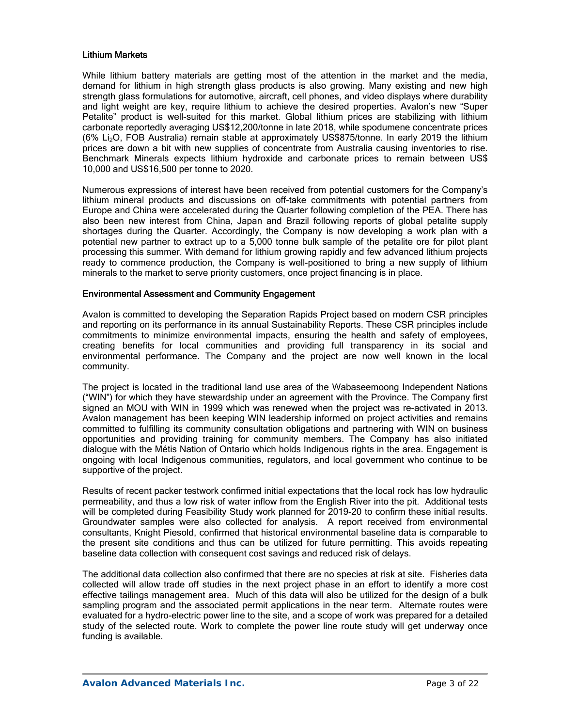### Lithium Markets

While lithium battery materials are getting most of the attention in the market and the media, demand for lithium in high strength glass products is also growing. Many existing and new high strength glass formulations for automotive, aircraft, cell phones, and video displays where durability and light weight are key, require lithium to achieve the desired properties. Avalon's new "Super Petalite" product is well-suited for this market. Global lithium prices are stabilizing with lithium carbonate reportedly averaging US\$12,200/tonne in late 2018, while spodumene concentrate prices (6% Li2O, FOB Australia) remain stable at approximately US\$875/tonne. In early 2019 the lithium prices are down a bit with new supplies of concentrate from Australia causing inventories to rise. Benchmark Minerals expects lithium hydroxide and carbonate prices to remain between US\$ 10,000 and US\$16,500 per tonne to 2020.

Numerous expressions of interest have been received from potential customers for the Company's lithium mineral products and discussions on off-take commitments with potential partners from Europe and China were accelerated during the Quarter following completion of the PEA. There has also been new interest from China, Japan and Brazil following reports of global petalite supply shortages during the Quarter. Accordingly, the Company is now developing a work plan with a potential new partner to extract up to a 5,000 tonne bulk sample of the petalite ore for pilot plant processing this summer. With demand for lithium growing rapidly and few advanced lithium projects ready to commence production, the Company is well-positioned to bring a new supply of lithium minerals to the market to serve priority customers, once project financing is in place.

#### Environmental Assessment and Community Engagement

Avalon is committed to developing the Separation Rapids Project based on modern CSR principles and reporting on its performance in its annual Sustainability Reports. These CSR principles include commitments to minimize environmental impacts, ensuring the health and safety of employees, creating benefits for local communities and providing full transparency in its social and environmental performance. The Company and the project are now well known in the local community.

The project is located in the traditional land use area of the Wabaseemoong Independent Nations ("WIN") for which they have stewardship under an agreement with the Province. The Company first signed an MOU with WIN in 1999 which was renewed when the project was re-activated in 2013. Avalon management has been keeping WIN leadership informed on project activities and remains committed to fulfilling its community consultation obligations and partnering with WIN on business opportunities and providing training for community members. The Company has also initiated dialogue with the Métis Nation of Ontario which holds Indigenous rights in the area. Engagement is ongoing with local Indigenous communities, regulators, and local government who continue to be supportive of the project.

Results of recent packer testwork confirmed initial expectations that the local rock has low hydraulic permeability, and thus a low risk of water inflow from the English River into the pit. Additional tests will be completed during Feasibility Study work planned for 2019-20 to confirm these initial results. Groundwater samples were also collected for analysis. A report received from environmental consultants, Knight Piesold, confirmed that historical environmental baseline data is comparable to the present site conditions and thus can be utilized for future permitting. This avoids repeating baseline data collection with consequent cost savings and reduced risk of delays.

The additional data collection also confirmed that there are no species at risk at site. Fisheries data collected will allow trade off studies in the next project phase in an effort to identify a more cost effective tailings management area. Much of this data will also be utilized for the design of a bulk sampling program and the associated permit applications in the near term. Alternate routes were evaluated for a hydro-electric power line to the site, and a scope of work was prepared for a detailed study of the selected route. Work to complete the power line route study will get underway once funding is available.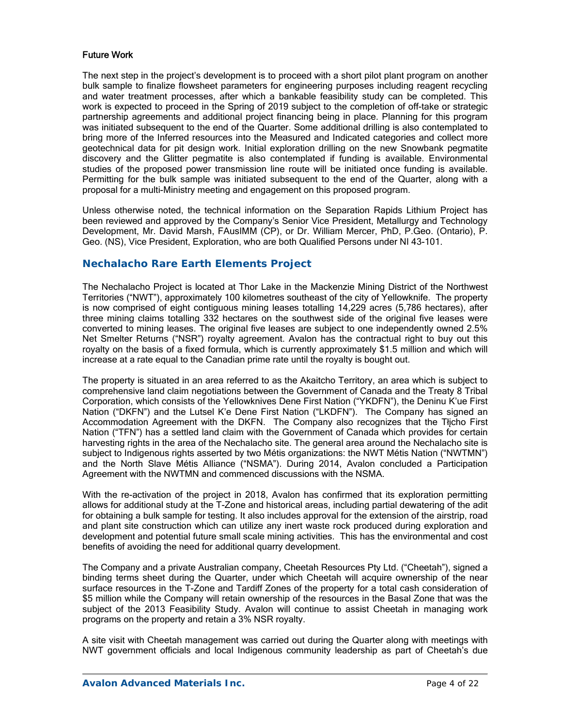### Future Work

The next step in the project's development is to proceed with a short pilot plant program on another bulk sample to finalize flowsheet parameters for engineering purposes including reagent recycling and water treatment processes, after which a bankable feasibility study can be completed. This work is expected to proceed in the Spring of 2019 subject to the completion of off-take or strategic partnership agreements and additional project financing being in place. Planning for this program was initiated subsequent to the end of the Quarter. Some additional drilling is also contemplated to bring more of the Inferred resources into the Measured and Indicated categories and collect more geotechnical data for pit design work. Initial exploration drilling on the new Snowbank pegmatite discovery and the Glitter pegmatite is also contemplated if funding is available. Environmental studies of the proposed power transmission line route will be initiated once funding is available. Permitting for the bulk sample was initiated subsequent to the end of the Quarter, along with a proposal for a multi-Ministry meeting and engagement on this proposed program.

Unless otherwise noted, the technical information on the Separation Rapids Lithium Project has been reviewed and approved by the Company's Senior Vice President, Metallurgy and Technology Development, Mr. David Marsh, FAusIMM (CP), or Dr. William Mercer, PhD, P.Geo. (Ontario), P. Geo. (NS), Vice President, Exploration, who are both Qualified Persons under NI 43-101.

### **Nechalacho Rare Earth Elements Project**

The Nechalacho Project is located at Thor Lake in the Mackenzie Mining District of the Northwest Territories ("NWT"), approximately 100 kilometres southeast of the city of Yellowknife. The property is now comprised of eight contiguous mining leases totalling 14,229 acres (5,786 hectares), after three mining claims totalling 332 hectares on the southwest side of the original five leases were converted to mining leases. The original five leases are subject to one independently owned 2.5% Net Smelter Returns ("NSR") royalty agreement. Avalon has the contractual right to buy out this royalty on the basis of a fixed formula, which is currently approximately \$1.5 million and which will increase at a rate equal to the Canadian prime rate until the royalty is bought out.

The property is situated in an area referred to as the Akaitcho Territory, an area which is subject to comprehensive land claim negotiations between the Government of Canada and the Treaty 8 Tribal Corporation, which consists of the Yellowknives Dene First Nation ("YKDFN"), the Deninu K'ue First Nation ("DKFN") and the Lutsel K'e Dene First Nation ("LKDFN"). The Company has signed an Accommodation Agreement with the DKFN. The Company also recognizes that the Tłįcho First Nation ("TFN") has a settled land claim with the Government of Canada which provides for certain harvesting rights in the area of the Nechalacho site. The general area around the Nechalacho site is subject to Indigenous rights asserted by two Métis organizations: the NWT Métis Nation ("NWTMN") and the North Slave Métis Alliance ("NSMA"). During 2014, Avalon concluded a Participation Agreement with the NWTMN and commenced discussions with the NSMA.

With the re-activation of the project in 2018, Avalon has confirmed that its exploration permitting allows for additional study at the T-Zone and historical areas, including partial dewatering of the adit for obtaining a bulk sample for testing. It also includes approval for the extension of the airstrip, road and plant site construction which can utilize any inert waste rock produced during exploration and development and potential future small scale mining activities. This has the environmental and cost benefits of avoiding the need for additional quarry development.

The Company and a private Australian company, Cheetah Resources Pty Ltd. ("Cheetah"), signed a binding terms sheet during the Quarter, under which Cheetah will acquire ownership of the near surface resources in the T-Zone and Tardiff Zones of the property for a total cash consideration of \$5 million while the Company will retain ownership of the resources in the Basal Zone that was the subject of the 2013 Feasibility Study. Avalon will continue to assist Cheetah in managing work programs on the property and retain a 3% NSR royalty.

A site visit with Cheetah management was carried out during the Quarter along with meetings with NWT government officials and local Indigenous community leadership as part of Cheetah's due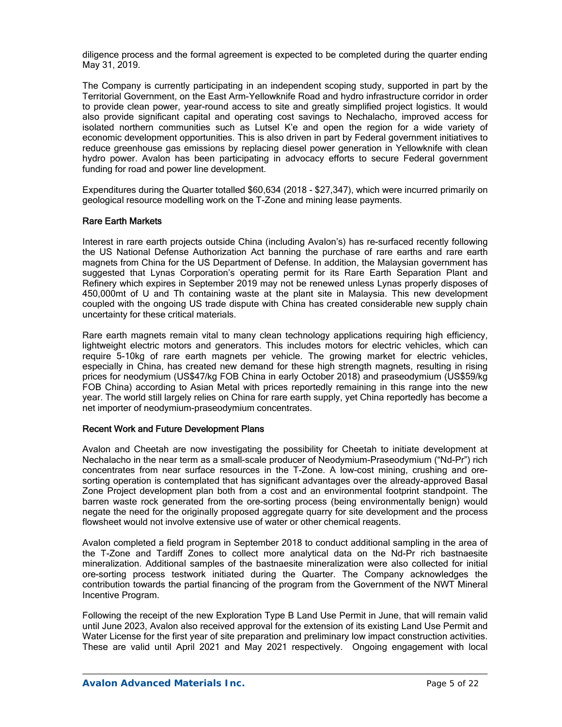diligence process and the formal agreement is expected to be completed during the quarter ending May 31, 2019.

The Company is currently participating in an independent scoping study, supported in part by the Territorial Government, on the East Arm-Yellowknife Road and hydro infrastructure corridor in order to provide clean power, year-round access to site and greatly simplified project logistics. It would also provide significant capital and operating cost savings to Nechalacho, improved access for isolated northern communities such as Lutsel K'e and open the region for a wide variety of economic development opportunities. This is also driven in part by Federal government initiatives to reduce greenhouse gas emissions by replacing diesel power generation in Yellowknife with clean hydro power. Avalon has been participating in advocacy efforts to secure Federal government funding for road and power line development.

Expenditures during the Quarter totalled \$60,634 (2018 - \$27,347), which were incurred primarily on geological resource modelling work on the T-Zone and mining lease payments.

### Rare Earth Markets

Interest in rare earth projects outside China (including Avalon's) has re-surfaced recently following the US National Defense Authorization Act banning the purchase of rare earths and rare earth magnets from China for the US Department of Defense. In addition, the Malaysian government has suggested that Lynas Corporation's operating permit for its Rare Earth Separation Plant and Refinery which expires in September 2019 may not be renewed unless Lynas properly disposes of 450,000mt of U and Th containing waste at the plant site in Malaysia. This new development coupled with the ongoing US trade dispute with China has created considerable new supply chain uncertainty for these critical materials.

Rare earth magnets remain vital to many clean technology applications requiring high efficiency, lightweight electric motors and generators. This includes motors for electric vehicles, which can require 5-10kg of rare earth magnets per vehicle. The growing market for electric vehicles, especially in China, has created new demand for these high strength magnets, resulting in rising prices for neodymium (US\$47/kg FOB China in early October 2018) and praseodymium (US\$59/kg FOB China) according to Asian Metal with prices reportedly remaining in this range into the new year. The world still largely relies on China for rare earth supply, yet China reportedly has become a net importer of neodymium-praseodymium concentrates.

### Recent Work and Future Development Plans

Avalon and Cheetah are now investigating the possibility for Cheetah to initiate development at Nechalacho in the near term as a small-scale producer of Neodymium-Praseodymium ("Nd-Pr") rich concentrates from near surface resources in the T-Zone. A low-cost mining, crushing and oresorting operation is contemplated that has significant advantages over the already-approved Basal Zone Project development plan both from a cost and an environmental footprint standpoint. The barren waste rock generated from the ore-sorting process (being environmentally benign) would negate the need for the originally proposed aggregate quarry for site development and the process flowsheet would not involve extensive use of water or other chemical reagents.

Avalon completed a field program in September 2018 to conduct additional sampling in the area of the T-Zone and Tardiff Zones to collect more analytical data on the Nd-Pr rich bastnaesite mineralization. Additional samples of the bastnaesite mineralization were also collected for initial ore-sorting process testwork initiated during the Quarter. The Company acknowledges the contribution towards the partial financing of the program from the Government of the NWT Mineral Incentive Program.

Following the receipt of the new Exploration Type B Land Use Permit in June, that will remain valid until June 2023, Avalon also received approval for the extension of its existing Land Use Permit and Water License for the first year of site preparation and preliminary low impact construction activities. These are valid until April 2021 and May 2021 respectively. Ongoing engagement with local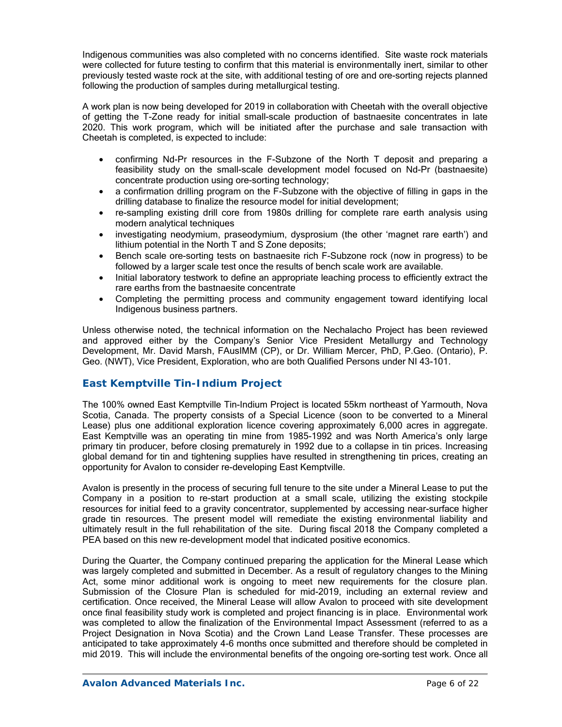Indigenous communities was also completed with no concerns identified. Site waste rock materials were collected for future testing to confirm that this material is environmentally inert, similar to other previously tested waste rock at the site, with additional testing of ore and ore-sorting rejects planned following the production of samples during metallurgical testing.

A work plan is now being developed for 2019 in collaboration with Cheetah with the overall objective of getting the T-Zone ready for initial small-scale production of bastnaesite concentrates in late 2020. This work program, which will be initiated after the purchase and sale transaction with Cheetah is completed, is expected to include:

- confirming Nd-Pr resources in the F-Subzone of the North T deposit and preparing a feasibility study on the small-scale development model focused on Nd-Pr (bastnaesite) concentrate production using ore-sorting technology;
- a confirmation drilling program on the F-Subzone with the objective of filling in gaps in the drilling database to finalize the resource model for initial development;
- re-sampling existing drill core from 1980s drilling for complete rare earth analysis using modern analytical techniques
- investigating neodymium, praseodymium, dysprosium (the other 'magnet rare earth') and lithium potential in the North T and S Zone deposits;
- Bench scale ore-sorting tests on bastnaesite rich F-Subzone rock (now in progress) to be followed by a larger scale test once the results of bench scale work are available.
- Initial laboratory testwork to define an appropriate leaching process to efficiently extract the rare earths from the bastnaesite concentrate
- Completing the permitting process and community engagement toward identifying local Indigenous business partners.

Unless otherwise noted, the technical information on the Nechalacho Project has been reviewed and approved either by the Company's Senior Vice President Metallurgy and Technology Development, Mr. David Marsh, FAusIMM (CP), or Dr. William Mercer, PhD, P.Geo. (Ontario), P. Geo. (NWT), Vice President, Exploration, who are both Qualified Persons under NI 43-101.

## *East Kemptville Tin-Indium Project*

The 100% owned East Kemptville Tin-Indium Project is located 55km northeast of Yarmouth, Nova Scotia, Canada. The property consists of a Special Licence (soon to be converted to a Mineral Lease) plus one additional exploration licence covering approximately 6,000 acres in aggregate. East Kemptville was an operating tin mine from 1985-1992 and was North America's only large primary tin producer, before closing prematurely in 1992 due to a collapse in tin prices. Increasing global demand for tin and tightening supplies have resulted in strengthening tin prices, creating an opportunity for Avalon to consider re-developing East Kemptville.

Avalon is presently in the process of securing full tenure to the site under a Mineral Lease to put the Company in a position to re-start production at a small scale, utilizing the existing stockpile resources for initial feed to a gravity concentrator, supplemented by accessing near-surface higher grade tin resources. The present model will remediate the existing environmental liability and ultimately result in the full rehabilitation of the site. During fiscal 2018 the Company completed a PEA based on this new re-development model that indicated positive economics.

During the Quarter, the Company continued preparing the application for the Mineral Lease which was largely completed and submitted in December. As a result of regulatory changes to the Mining Act, some minor additional work is ongoing to meet new requirements for the closure plan. Submission of the Closure Plan is scheduled for mid-2019, including an external review and certification. Once received, the Mineral Lease will allow Avalon to proceed with site development once final feasibility study work is completed and project financing is in place. Environmental work was completed to allow the finalization of the Environmental Impact Assessment (referred to as a Project Designation in Nova Scotia) and the Crown Land Lease Transfer. These processes are anticipated to take approximately 4-6 months once submitted and therefore should be completed in mid 2019. This will include the environmental benefits of the ongoing ore-sorting test work. Once all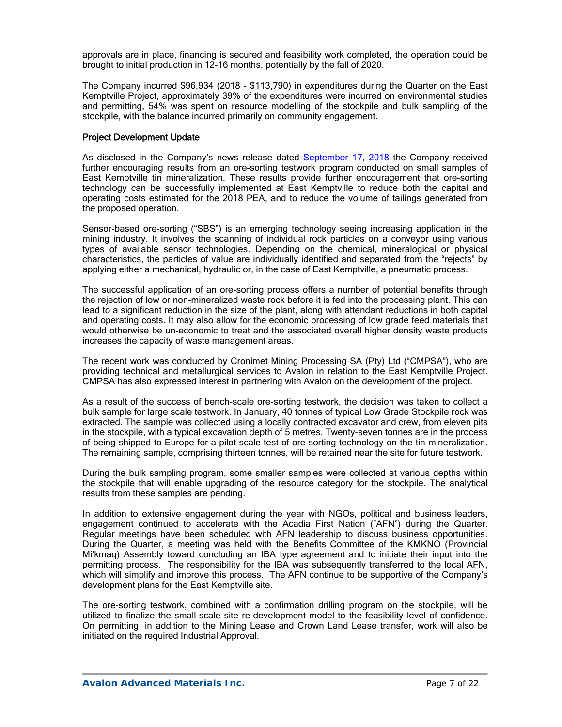approvals are in place, financing is secured and feasibility work completed, the operation could be brought to initial production in 12-16 months, potentially by the fall of 2020.

The Company incurred \$96,934 (2018 - \$113,790) in expenditures during the Quarter on the East Kemptville Project, approximately 39% of the expenditures were incurred on environmental studies and permitting, 54% was spent on resource modelling of the stockpile and bulk sampling of the stockpile, with the balance incurred primarily on community engagement.

### Project Development Update

As disclosed in the Company's news release dated September 17, 2018 the Company received further encouraging results from an ore-sorting testwork program conducted on small samples of East Kemptville tin mineralization. These results provide further encouragement that ore-sorting technology can be successfully implemented at East Kemptville to reduce both the capital and operating costs estimated for the 2018 PEA, and to reduce the volume of tailings generated from the proposed operation.

Sensor-based ore-sorting ("SBS") is an emerging technology seeing increasing application in the mining industry. It involves the scanning of individual rock particles on a conveyor using various types of available sensor technologies. Depending on the chemical, mineralogical or physical characteristics, the particles of value are individually identified and separated from the "rejects" by applying either a mechanical, hydraulic or, in the case of East Kemptville, a pneumatic process.

The successful application of an ore-sorting process offers a number of potential benefits through the rejection of low or non-mineralized waste rock before it is fed into the processing plant. This can lead to a significant reduction in the size of the plant, along with attendant reductions in both capital and operating costs. It may also allow for the economic processing of low grade feed materials that would otherwise be un-economic to treat and the associated overall higher density waste products increases the capacity of waste management areas.

The recent work was conducted by Cronimet Mining Processing SA (Pty) Ltd ("CMPSA"), who are providing technical and metallurgical services to Avalon in relation to the East Kemptville Project. CMPSA has also expressed interest in partnering with Avalon on the development of the project.

As a result of the success of bench-scale ore-sorting testwork, the decision was taken to collect a bulk sample for large scale testwork. In January, 40 tonnes of typical Low Grade Stockpile rock was extracted. The sample was collected using a locally contracted excavator and crew, from eleven pits in the stockpile, with a typical excavation depth of 5 metres. Twenty-seven tonnes are in the process of being shipped to Europe for a pilot-scale test of ore-sorting technology on the tin mineralization. The remaining sample, comprising thirteen tonnes, will be retained near the site for future testwork.

During the bulk sampling program, some smaller samples were collected at various depths within the stockpile that will enable upgrading of the resource category for the stockpile. The analytical results from these samples are pending.

In addition to extensive engagement during the year with NGOs, political and business leaders, engagement continued to accelerate with the Acadia First Nation ("AFN") during the Quarter. Regular meetings have been scheduled with AFN leadership to discuss business opportunities. During the Quarter, a meeting was held with the Benefits Committee of the KMKNO (Provincial Mi'kmaq) Assembly toward concluding an IBA type agreement and to initiate their input into the permitting process. The responsibility for the IBA was subsequently transferred to the local AFN, which will simplify and improve this process. The AFN continue to be supportive of the Company's development plans for the East Kemptville site.

The ore-sorting testwork, combined with a confirmation drilling program on the stockpile, will be utilized to finalize the small-scale site re-development model to the feasibility level of confidence. On permitting, in addition to the Mining Lease and Crown Land Lease transfer, work will also be initiated on the required Industrial Approval.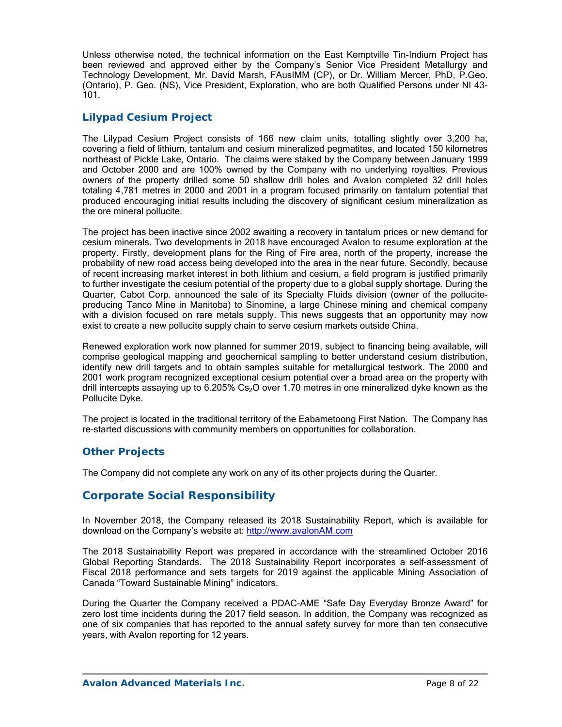Unless otherwise noted, the technical information on the East Kemptville Tin-Indium Project has been reviewed and approved either by the Company's Senior Vice President Metallurgy and Technology Development, Mr. David Marsh, FAusIMM (CP), or Dr. William Mercer, PhD, P.Geo. (Ontario), P. Geo. (NS), Vice President, Exploration, who are both Qualified Persons under NI 43- 101.

## *Lilypad Cesium Project*

The Lilypad Cesium Project consists of 166 new claim units, totalling slightly over 3,200 ha, covering a field of lithium, tantalum and cesium mineralized pegmatites, and located 150 kilometres northeast of Pickle Lake, Ontario. The claims were staked by the Company between January 1999 and October 2000 and are 100% owned by the Company with no underlying royalties. Previous owners of the property drilled some 50 shallow drill holes and Avalon completed 32 drill holes totaling 4,781 metres in 2000 and 2001 in a program focused primarily on tantalum potential that produced encouraging initial results including the discovery of significant cesium mineralization as the ore mineral pollucite.

The project has been inactive since 2002 awaiting a recovery in tantalum prices or new demand for cesium minerals. Two developments in 2018 have encouraged Avalon to resume exploration at the property. Firstly, development plans for the Ring of Fire area, north of the property, increase the probability of new road access being developed into the area in the near future. Secondly, because of recent increasing market interest in both lithium and cesium, a field program is justified primarily to further investigate the cesium potential of the property due to a global supply shortage. During the Quarter, Cabot Corp. announced the sale of its Specialty Fluids division (owner of the polluciteproducing Tanco Mine in Manitoba) to Sinomine, a large Chinese mining and chemical company with a division focused on rare metals supply. This news suggests that an opportunity may now exist to create a new pollucite supply chain to serve cesium markets outside China.

Renewed exploration work now planned for summer 2019, subject to financing being available, will comprise geological mapping and geochemical sampling to better understand cesium distribution, identify new drill targets and to obtain samples suitable for metallurgical testwork. The 2000 and 2001 work program recognized exceptional cesium potential over a broad area on the property with drill intercepts assaying up to 6.205% Cs<sub>2</sub>O over 1.70 metres in one mineralized dyke known as the Pollucite Dyke.

The project is located in the traditional territory of the Eabametoong First Nation. The Company has re-started discussions with community members on opportunities for collaboration.

# *Other Projects*

The Company did not complete any work on any of its other projects during the Quarter.

# **Corporate Social Responsibility**

In November 2018, the Company released its 2018 Sustainability Report, which is available for download on the Company's website at: http://www.avalonAM.com

The 2018 Sustainability Report was prepared in accordance with the streamlined October 2016 Global Reporting Standards. The 2018 Sustainability Report incorporates a self-assessment of Fiscal 2018 performance and sets targets for 2019 against the applicable Mining Association of Canada "Toward Sustainable Mining" indicators.

During the Quarter the Company received a PDAC-AME "Safe Day Everyday Bronze Award" for zero lost time incidents during the 2017 field season. In addition, the Company was recognized as one of six companies that has reported to the annual safety survey for more than ten consecutive years, with Avalon reporting for 12 years.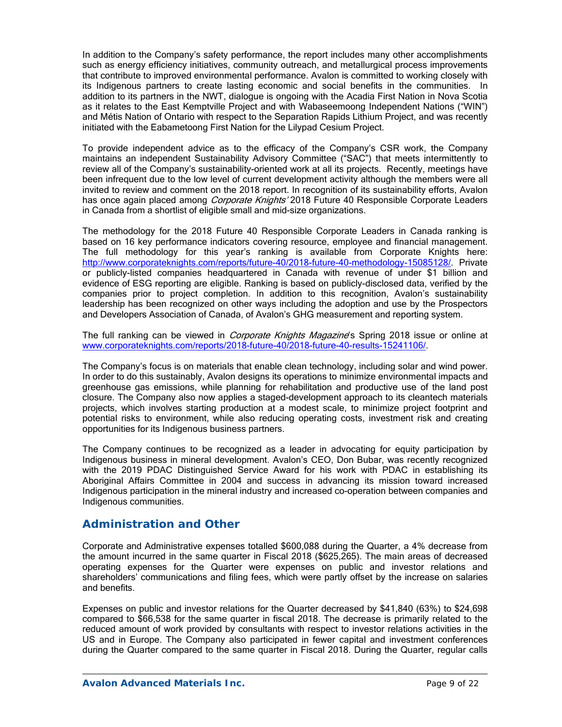In addition to the Company's safety performance, the report includes many other accomplishments such as energy efficiency initiatives, community outreach, and metallurgical process improvements that contribute to improved environmental performance. Avalon is committed to working closely with its Indigenous partners to create lasting economic and social benefits in the communities. In addition to its partners in the NWT, dialogue is ongoing with the Acadia First Nation in Nova Scotia as it relates to the East Kemptville Project and with Wabaseemoong Independent Nations ("WIN") and Métis Nation of Ontario with respect to the Separation Rapids Lithium Project, and was recently initiated with the Eabametoong First Nation for the Lilypad Cesium Project.

To provide independent advice as to the efficacy of the Company's CSR work, the Company maintains an independent Sustainability Advisory Committee ("SAC") that meets intermittently to review all of the Company's sustainability-oriented work at all its projects. Recently, meetings have been infrequent due to the low level of current development activity although the members were all invited to review and comment on the 2018 report. In recognition of its sustainability efforts, Avalon has once again placed among Corporate Knights' 2018 Future 40 Responsible Corporate Leaders in Canada from a shortlist of eligible small and mid-size organizations.

The methodology for the 2018 Future 40 Responsible Corporate Leaders in Canada ranking is based on 16 key performance indicators covering resource, employee and financial management. The full methodology for this year's ranking is available from Corporate Knights here: http://www.corporateknights.com/reports/future-40/2018-future-40-methodology-15085128/. Private or publicly-listed companies headquartered in Canada with revenue of under \$1 billion and evidence of ESG reporting are eligible. Ranking is based on publicly-disclosed data, verified by the companies prior to project completion. In addition to this recognition, Avalon's sustainability leadership has been recognized on other ways including the adoption and use by the Prospectors and Developers Association of Canada, of Avalon's GHG measurement and reporting system.

The full ranking can be viewed in *Corporate Knights Magazine*'s Spring 2018 issue or online at www.corporateknights.com/reports/2018-future-40/2018-future-40-results-15241106/.

The Company's focus is on materials that enable clean technology, including solar and wind power. In order to do this sustainably, Avalon designs its operations to minimize environmental impacts and greenhouse gas emissions, while planning for rehabilitation and productive use of the land post closure. The Company also now applies a staged-development approach to its cleantech materials projects, which involves starting production at a modest scale, to minimize project footprint and potential risks to environment, while also reducing operating costs, investment risk and creating opportunities for its Indigenous business partners.

The Company continues to be recognized as a leader in advocating for equity participation by Indigenous business in mineral development. Avalon's CEO, Don Bubar, was recently recognized with the 2019 PDAC Distinguished Service Award for his work with PDAC in establishing its Aboriginal Affairs Committee in 2004 and success in advancing its mission toward increased Indigenous participation in the mineral industry and increased co-operation between companies and Indigenous communities.

## **Administration and Other**

Corporate and Administrative expenses totalled \$600,088 during the Quarter, a 4% decrease from the amount incurred in the same quarter in Fiscal 2018 (\$625,265). The main areas of decreased operating expenses for the Quarter were expenses on public and investor relations and shareholders' communications and filing fees, which were partly offset by the increase on salaries and benefits.

Expenses on public and investor relations for the Quarter decreased by \$41,840 (63%) to \$24,698 compared to \$66,538 for the same quarter in fiscal 2018. The decrease is primarily related to the reduced amount of work provided by consultants with respect to investor relations activities in the US and in Europe. The Company also participated in fewer capital and investment conferences during the Quarter compared to the same quarter in Fiscal 2018. During the Quarter, regular calls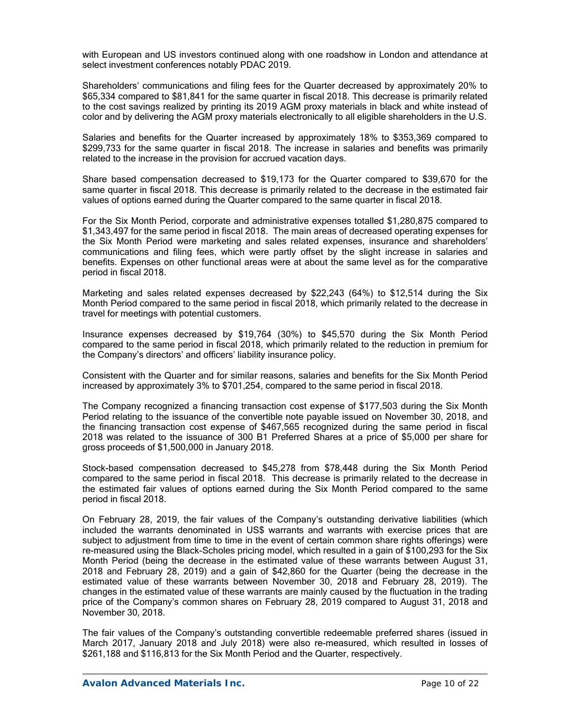with European and US investors continued along with one roadshow in London and attendance at select investment conferences notably PDAC 2019.

Shareholders' communications and filing fees for the Quarter decreased by approximately 20% to \$65,334 compared to \$81,841 for the same quarter in fiscal 2018. This decrease is primarily related to the cost savings realized by printing its 2019 AGM proxy materials in black and white instead of color and by delivering the AGM proxy materials electronically to all eligible shareholders in the U.S.

Salaries and benefits for the Quarter increased by approximately 18% to \$353,369 compared to \$299,733 for the same quarter in fiscal 2018. The increase in salaries and benefits was primarily related to the increase in the provision for accrued vacation days.

Share based compensation decreased to \$19,173 for the Quarter compared to \$39,670 for the same quarter in fiscal 2018. This decrease is primarily related to the decrease in the estimated fair values of options earned during the Quarter compared to the same quarter in fiscal 2018.

For the Six Month Period, corporate and administrative expenses totalled \$1,280,875 compared to \$1,343,497 for the same period in fiscal 2018. The main areas of decreased operating expenses for the Six Month Period were marketing and sales related expenses, insurance and shareholders' communications and filing fees, which were partly offset by the slight increase in salaries and benefits. Expenses on other functional areas were at about the same level as for the comparative period in fiscal 2018.

Marketing and sales related expenses decreased by \$22,243 (64%) to \$12,514 during the Six Month Period compared to the same period in fiscal 2018, which primarily related to the decrease in travel for meetings with potential customers.

Insurance expenses decreased by \$19,764 (30%) to \$45,570 during the Six Month Period compared to the same period in fiscal 2018, which primarily related to the reduction in premium for the Company's directors' and officers' liability insurance policy.

Consistent with the Quarter and for similar reasons, salaries and benefits for the Six Month Period increased by approximately 3% to \$701,254, compared to the same period in fiscal 2018.

The Company recognized a financing transaction cost expense of \$177,503 during the Six Month Period relating to the issuance of the convertible note payable issued on November 30, 2018, and the financing transaction cost expense of \$467,565 recognized during the same period in fiscal 2018 was related to the issuance of 300 B1 Preferred Shares at a price of \$5,000 per share for gross proceeds of \$1,500,000 in January 2018.

Stock-based compensation decreased to \$45,278 from \$78,448 during the Six Month Period compared to the same period in fiscal 2018. This decrease is primarily related to the decrease in the estimated fair values of options earned during the Six Month Period compared to the same period in fiscal 2018.

On February 28, 2019, the fair values of the Company's outstanding derivative liabilities (which included the warrants denominated in US\$ warrants and warrants with exercise prices that are subject to adjustment from time to time in the event of certain common share rights offerings) were re-measured using the Black-Scholes pricing model, which resulted in a gain of \$100,293 for the Six Month Period (being the decrease in the estimated value of these warrants between August 31, 2018 and February 28, 2019) and a gain of \$42,860 for the Quarter (being the decrease in the estimated value of these warrants between November 30, 2018 and February 28, 2019). The changes in the estimated value of these warrants are mainly caused by the fluctuation in the trading price of the Company's common shares on February 28, 2019 compared to August 31, 2018 and November 30, 2018.

The fair values of the Company's outstanding convertible redeemable preferred shares (issued in March 2017, January 2018 and July 2018) were also re-measured, which resulted in losses of \$261,188 and \$116,813 for the Six Month Period and the Quarter, respectively.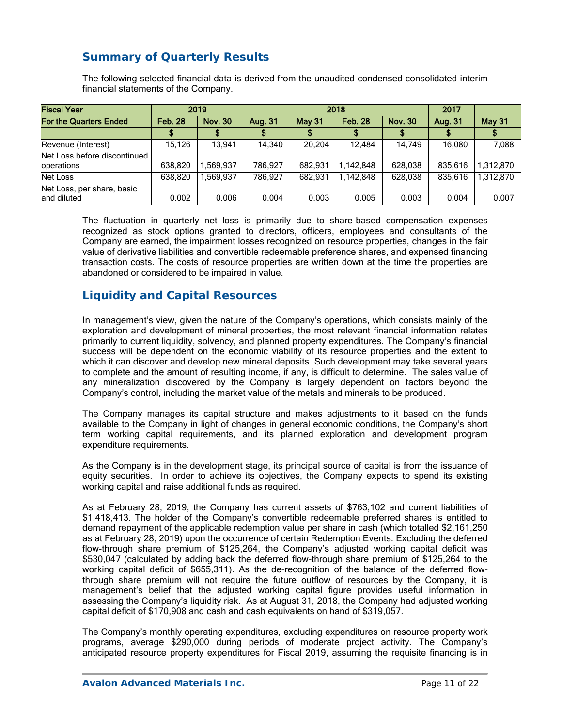# **Summary of Quarterly Results**

The following selected financial data is derived from the unaudited condensed consolidated interim financial statements of the Company.

| <b>Fiscal Year</b>                         |                | 2019           |         | 2018    | 2017           |                |         |               |
|--------------------------------------------|----------------|----------------|---------|---------|----------------|----------------|---------|---------------|
| <b>For the Quarters Ended</b>              | <b>Feb. 28</b> | <b>Nov. 30</b> | Aug. 31 | May 31  | <b>Feb. 28</b> | <b>Nov. 30</b> | Aug. 31 | <b>May 31</b> |
|                                            |                |                |         |         |                |                |         |               |
| Revenue (Interest)                         | 15,126         | 13.941         | 14.340  | 20.204  | 12.484         | 14.749         | 16.080  | 7,088         |
| Net Loss before discontinued<br>operations | 638.820        | 1.569.937      | 786.927 | 682.931 | 1.142.848      | 628.038        | 835.616 | 1.312.870     |
| Net Loss                                   | 638.820        | .569.937       | 786.927 | 682.931 | 1.142.848      | 628.038        | 835.616 | 1.312.870     |
| Net Loss, per share, basic<br>land diluted | 0.002          | 0.006          | 0.004   | 0.003   | 0.005          | 0.003          | 0.004   | 0.007         |

The fluctuation in quarterly net loss is primarily due to share-based compensation expenses recognized as stock options granted to directors, officers, employees and consultants of the Company are earned, the impairment losses recognized on resource properties, changes in the fair value of derivative liabilities and convertible redeemable preference shares, and expensed financing transaction costs. The costs of resource properties are written down at the time the properties are abandoned or considered to be impaired in value.

# **Liquidity and Capital Resources**

In management's view, given the nature of the Company's operations, which consists mainly of the exploration and development of mineral properties, the most relevant financial information relates primarily to current liquidity, solvency, and planned property expenditures. The Company's financial success will be dependent on the economic viability of its resource properties and the extent to which it can discover and develop new mineral deposits. Such development may take several years to complete and the amount of resulting income, if any, is difficult to determine. The sales value of any mineralization discovered by the Company is largely dependent on factors beyond the Company's control, including the market value of the metals and minerals to be produced.

The Company manages its capital structure and makes adjustments to it based on the funds available to the Company in light of changes in general economic conditions, the Company's short term working capital requirements, and its planned exploration and development program expenditure requirements.

As the Company is in the development stage, its principal source of capital is from the issuance of equity securities. In order to achieve its objectives, the Company expects to spend its existing working capital and raise additional funds as required.

As at February 28, 2019, the Company has current assets of \$763,102 and current liabilities of \$1,418,413. The holder of the Company's convertible redeemable preferred shares is entitled to demand repayment of the applicable redemption value per share in cash (which totalled \$2,161,250 as at February 28, 2019) upon the occurrence of certain Redemption Events. Excluding the deferred flow-through share premium of \$125,264, the Company's adjusted working capital deficit was \$530,047 (calculated by adding back the deferred flow-through share premium of \$125,264 to the working capital deficit of \$655,311). As the de-recognition of the balance of the deferred flowthrough share premium will not require the future outflow of resources by the Company, it is management's belief that the adjusted working capital figure provides useful information in assessing the Company's liquidity risk. As at August 31, 2018, the Company had adjusted working capital deficit of \$170,908 and cash and cash equivalents on hand of \$319,057.

The Company's monthly operating expenditures, excluding expenditures on resource property work programs, average \$290,000 during periods of moderate project activity. The Company's anticipated resource property expenditures for Fiscal 2019, assuming the requisite financing is in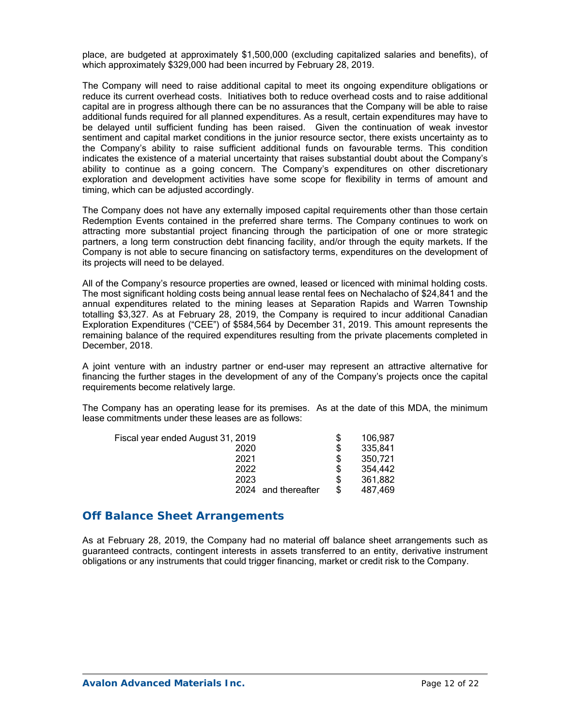place, are budgeted at approximately \$1,500,000 (excluding capitalized salaries and benefits), of which approximately \$329,000 had been incurred by February 28, 2019.

The Company will need to raise additional capital to meet its ongoing expenditure obligations or reduce its current overhead costs. Initiatives both to reduce overhead costs and to raise additional capital are in progress although there can be no assurances that the Company will be able to raise additional funds required for all planned expenditures. As a result, certain expenditures may have to be delayed until sufficient funding has been raised. Given the continuation of weak investor sentiment and capital market conditions in the junior resource sector, there exists uncertainty as to the Company's ability to raise sufficient additional funds on favourable terms. This condition indicates the existence of a material uncertainty that raises substantial doubt about the Company's ability to continue as a going concern. The Company's expenditures on other discretionary exploration and development activities have some scope for flexibility in terms of amount and timing, which can be adjusted accordingly.

The Company does not have any externally imposed capital requirements other than those certain Redemption Events contained in the preferred share terms. The Company continues to work on attracting more substantial project financing through the participation of one or more strategic partners, a long term construction debt financing facility, and/or through the equity markets. If the Company is not able to secure financing on satisfactory terms, expenditures on the development of its projects will need to be delayed.

All of the Company's resource properties are owned, leased or licenced with minimal holding costs. The most significant holding costs being annual lease rental fees on Nechalacho of \$24,841 and the annual expenditures related to the mining leases at Separation Rapids and Warren Township totalling \$3,327. As at February 28, 2019, the Company is required to incur additional Canadian Exploration Expenditures ("CEE") of \$584,564 by December 31, 2019. This amount represents the remaining balance of the required expenditures resulting from the private placements completed in December, 2018.

A joint venture with an industry partner or end-user may represent an attractive alternative for financing the further stages in the development of any of the Company's projects once the capital requirements become relatively large.

The Company has an operating lease for its premises. As at the date of this MDA, the minimum lease commitments under these leases are as follows:

| Fiscal year ended August 31, 2019 | \$ | 106,987 |
|-----------------------------------|----|---------|
| 2020                              | \$ | 335,841 |
| 2021                              | \$ | 350,721 |
| 2022                              | S  | 354,442 |
| 2023                              | S  | 361,882 |
| 2024 and thereafter               | S  | 487,469 |
|                                   |    |         |

## **Off Balance Sheet Arrangements**

As at February 28, 2019, the Company had no material off balance sheet arrangements such as guaranteed contracts, contingent interests in assets transferred to an entity, derivative instrument obligations or any instruments that could trigger financing, market or credit risk to the Company.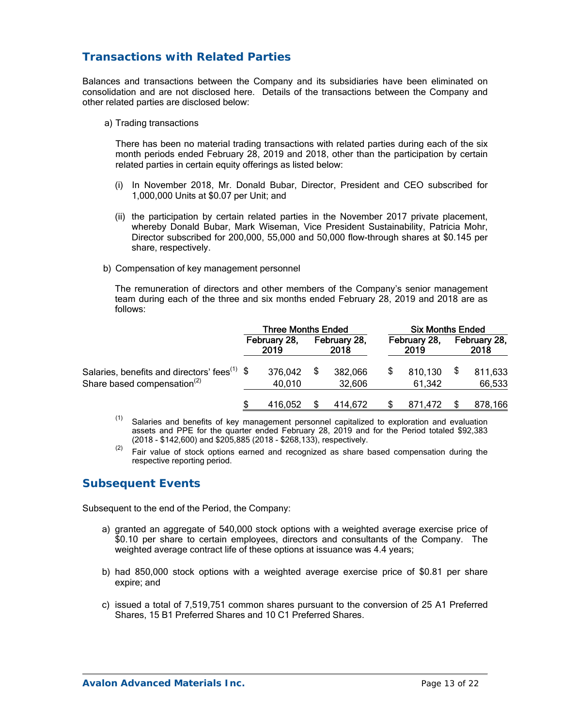# **Transactions with Related Parties**

Balances and transactions between the Company and its subsidiaries have been eliminated on consolidation and are not disclosed here. Details of the transactions between the Company and other related parties are disclosed below:

a) Trading transactions

 There has been no material trading transactions with related parties during each of the six month periods ended February 28, 2019 and 2018, other than the participation by certain related parties in certain equity offerings as listed below:

- (i) In November 2018, Mr. Donald Bubar, Director, President and CEO subscribed for 1,000,000 Units at \$0.07 per Unit; and
- (ii) the participation by certain related parties in the November 2017 private placement, whereby Donald Bubar, Mark Wiseman, Vice President Sustainability, Patricia Mohr, Director subscribed for 200,000, 55,000 and 50,000 flow-through shares at \$0.145 per share, respectively.
- b) Compensation of key management personnel

 The remuneration of directors and other members of the Company's senior management team during each of the three and six months ended February 28, 2019 and 2018 are as follows:

|                                                                                               | <b>Three Months Ended</b> |                      |  |                      | <b>Six Months Ended</b> |                      |  |                      |
|-----------------------------------------------------------------------------------------------|---------------------------|----------------------|--|----------------------|-------------------------|----------------------|--|----------------------|
|                                                                                               |                           | February 28,<br>2019 |  | February 28,<br>2018 |                         | February 28,<br>2019 |  | February 28,<br>2018 |
| Salaries, benefits and directors' fees <sup>(1)</sup> \$<br>Share based compensation $^{(2)}$ |                           | 376,042<br>40,010    |  | 382,066<br>32,606    |                         | 810,130<br>61.342    |  | 811,633<br>66,533    |
|                                                                                               |                           | 416,052              |  | 414.672              |                         | 871.472              |  | 878,166              |

 $(1)$  Salaries and benefits of key management personnel capitalized to exploration and evaluation assets and PPE for the quarter ended February 28, 2019 and for the Period totaled \$92,383 (2018 - \$142,600) and \$205,885 (2018 - \$268,133), respectively.

 $(2)$  Fair value of stock options earned and recognized as share based compensation during the respective reporting period.

# **Subsequent Events**

Subsequent to the end of the Period, the Company:

- a) granted an aggregate of 540,000 stock options with a weighted average exercise price of \$0.10 per share to certain employees, directors and consultants of the Company. The weighted average contract life of these options at issuance was 4.4 years;
- b) had 850,000 stock options with a weighted average exercise price of \$0.81 per share expire; and
- c) issued a total of 7,519,751 common shares pursuant to the conversion of 25 A1 Preferred Shares, 15 B1 Preferred Shares and 10 C1 Preferred Shares.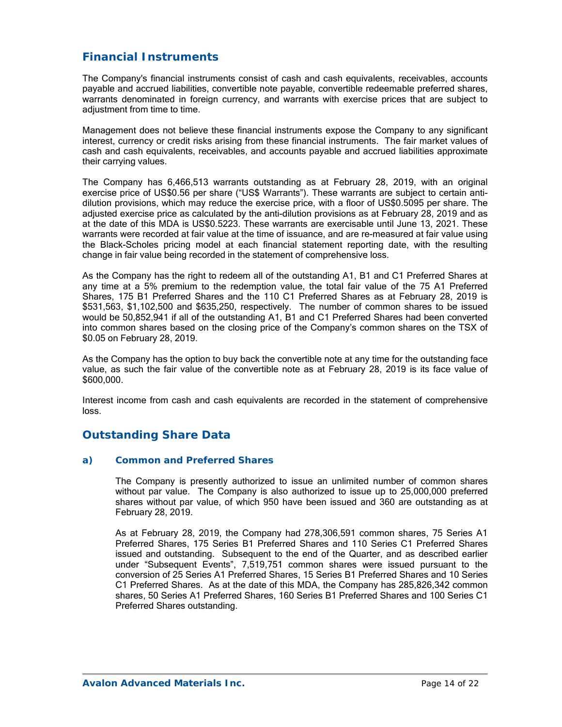# **Financial Instruments**

The Company's financial instruments consist of cash and cash equivalents, receivables, accounts payable and accrued liabilities, convertible note payable, convertible redeemable preferred shares, warrants denominated in foreign currency, and warrants with exercise prices that are subject to adjustment from time to time.

Management does not believe these financial instruments expose the Company to any significant interest, currency or credit risks arising from these financial instruments. The fair market values of cash and cash equivalents, receivables, and accounts payable and accrued liabilities approximate their carrying values.

The Company has 6,466,513 warrants outstanding as at February 28, 2019, with an original exercise price of US\$0.56 per share ("US\$ Warrants"). These warrants are subject to certain antidilution provisions, which may reduce the exercise price, with a floor of US\$0.5095 per share. The adjusted exercise price as calculated by the anti-dilution provisions as at February 28, 2019 and as at the date of this MDA is US\$0.5223. These warrants are exercisable until June 13, 2021. These warrants were recorded at fair value at the time of issuance, and are re-measured at fair value using the Black-Scholes pricing model at each financial statement reporting date, with the resulting change in fair value being recorded in the statement of comprehensive loss.

As the Company has the right to redeem all of the outstanding A1, B1 and C1 Preferred Shares at any time at a 5% premium to the redemption value, the total fair value of the 75 A1 Preferred Shares, 175 B1 Preferred Shares and the 110 C1 Preferred Shares as at February 28, 2019 is \$531,563, \$1,102,500 and \$635,250, respectively. The number of common shares to be issued would be 50,852,941 if all of the outstanding A1, B1 and C1 Preferred Shares had been converted into common shares based on the closing price of the Company's common shares on the TSX of \$0.05 on February 28, 2019.

As the Company has the option to buy back the convertible note at any time for the outstanding face value, as such the fair value of the convertible note as at February 28, 2019 is its face value of \$600,000.

Interest income from cash and cash equivalents are recorded in the statement of comprehensive loss.

# **Outstanding Share Data**

### *a) Common and Preferred Shares*

The Company is presently authorized to issue an unlimited number of common shares without par value. The Company is also authorized to issue up to 25,000,000 preferred shares without par value, of which 950 have been issued and 360 are outstanding as at February 28, 2019.

As at February 28, 2019, the Company had 278,306,591 common shares, 75 Series A1 Preferred Shares, 175 Series B1 Preferred Shares and 110 Series C1 Preferred Shares issued and outstanding. Subsequent to the end of the Quarter, and as described earlier under "Subsequent Events", 7,519,751 common shares were issued pursuant to the conversion of 25 Series A1 Preferred Shares, 15 Series B1 Preferred Shares and 10 Series C1 Preferred Shares. As at the date of this MDA, the Company has 285,826,342 common shares, 50 Series A1 Preferred Shares, 160 Series B1 Preferred Shares and 100 Series C1 Preferred Shares outstanding.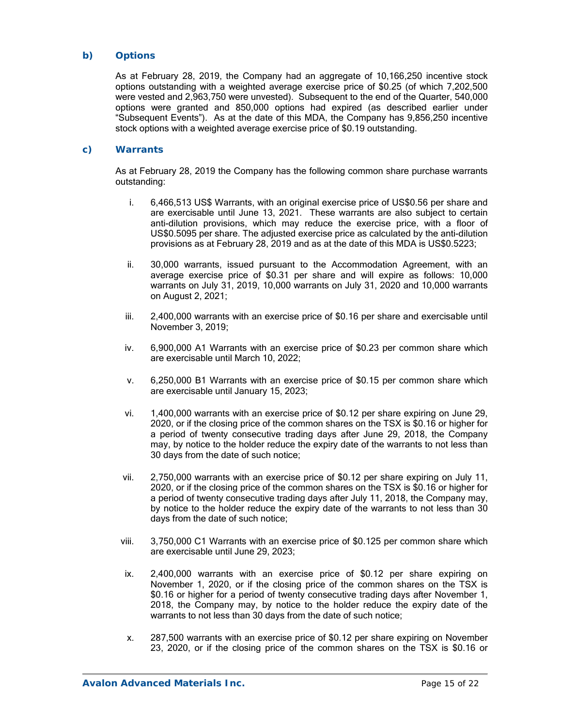### *b) Options*

As at February 28, 2019, the Company had an aggregate of 10,166,250 incentive stock options outstanding with a weighted average exercise price of \$0.25 (of which 7,202,500 were vested and 2,963,750 were unvested). Subsequent to the end of the Quarter, 540,000 options were granted and 850,000 options had expired (as described earlier under "Subsequent Events"). As at the date of this MDA, the Company has 9,856,250 incentive stock options with a weighted average exercise price of \$0.19 outstanding.

### *c) Warrants*

As at February 28, 2019 the Company has the following common share purchase warrants outstanding:

- i. 6,466,513 US\$ Warrants, with an original exercise price of US\$0.56 per share and are exercisable until June 13, 2021. These warrants are also subject to certain anti-dilution provisions, which may reduce the exercise price, with a floor of US\$0.5095 per share. The adjusted exercise price as calculated by the anti-dilution provisions as at February 28, 2019 and as at the date of this MDA is US\$0.5223;
- ii. 30,000 warrants, issued pursuant to the Accommodation Agreement, with an average exercise price of \$0.31 per share and will expire as follows: 10,000 warrants on July 31, 2019, 10,000 warrants on July 31, 2020 and 10,000 warrants on August 2, 2021;
- iii. 2,400,000 warrants with an exercise price of \$0.16 per share and exercisable until November 3, 2019;
- iv. 6,900,000 A1 Warrants with an exercise price of \$0.23 per common share which are exercisable until March 10, 2022;
- v. 6,250,000 B1 Warrants with an exercise price of \$0.15 per common share which are exercisable until January 15, 2023;
- vi. 1,400,000 warrants with an exercise price of \$0.12 per share expiring on June 29, 2020, or if the closing price of the common shares on the TSX is \$0.16 or higher for a period of twenty consecutive trading days after June 29, 2018, the Company may, by notice to the holder reduce the expiry date of the warrants to not less than 30 days from the date of such notice;
- vii. 2,750,000 warrants with an exercise price of \$0.12 per share expiring on July 11, 2020, or if the closing price of the common shares on the TSX is \$0.16 or higher for a period of twenty consecutive trading days after July 11, 2018, the Company may, by notice to the holder reduce the expiry date of the warrants to not less than 30 days from the date of such notice;
- viii. 3,750,000 C1 Warrants with an exercise price of \$0.125 per common share which are exercisable until June 29, 2023;
- ix. 2,400,000 warrants with an exercise price of \$0.12 per share expiring on November 1, 2020, or if the closing price of the common shares on the TSX is \$0.16 or higher for a period of twenty consecutive trading days after November 1, 2018, the Company may, by notice to the holder reduce the expiry date of the warrants to not less than 30 days from the date of such notice;
- x. 287,500 warrants with an exercise price of \$0.12 per share expiring on November 23, 2020, or if the closing price of the common shares on the TSX is \$0.16 or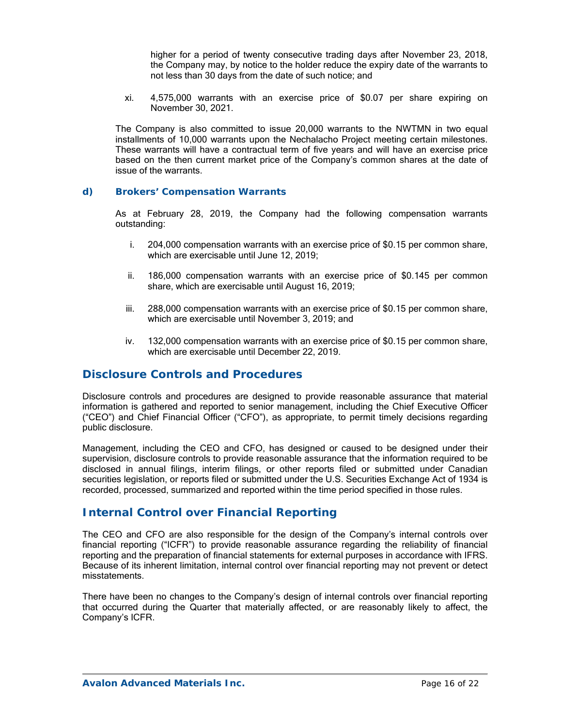higher for a period of twenty consecutive trading days after November 23, 2018, the Company may, by notice to the holder reduce the expiry date of the warrants to not less than 30 days from the date of such notice; and

xi. 4,575,000 warrants with an exercise price of \$0.07 per share expiring on November 30, 2021.

The Company is also committed to issue 20,000 warrants to the NWTMN in two equal installments of 10,000 warrants upon the Nechalacho Project meeting certain milestones. These warrants will have a contractual term of five years and will have an exercise price based on the then current market price of the Company's common shares at the date of issue of the warrants.

### *d) Brokers' Compensation Warrants*

As at February 28, 2019, the Company had the following compensation warrants outstanding:

- i. 204,000 compensation warrants with an exercise price of \$0.15 per common share, which are exercisable until June 12, 2019;
- ii. 186,000 compensation warrants with an exercise price of \$0.145 per common share, which are exercisable until August 16, 2019;
- iii. 288,000 compensation warrants with an exercise price of \$0.15 per common share, which are exercisable until November 3, 2019; and
- iv. 132,000 compensation warrants with an exercise price of \$0.15 per common share, which are exercisable until December 22, 2019.

## **Disclosure Controls and Procedures**

Disclosure controls and procedures are designed to provide reasonable assurance that material information is gathered and reported to senior management, including the Chief Executive Officer ("CEO") and Chief Financial Officer ("CFO"), as appropriate, to permit timely decisions regarding public disclosure.

Management, including the CEO and CFO, has designed or caused to be designed under their supervision, disclosure controls to provide reasonable assurance that the information required to be disclosed in annual filings, interim filings, or other reports filed or submitted under Canadian securities legislation, or reports filed or submitted under the U.S. Securities Exchange Act of 1934 is recorded, processed, summarized and reported within the time period specified in those rules.

## **Internal Control over Financial Reporting**

The CEO and CFO are also responsible for the design of the Company's internal controls over financial reporting ("ICFR") to provide reasonable assurance regarding the reliability of financial reporting and the preparation of financial statements for external purposes in accordance with IFRS. Because of its inherent limitation, internal control over financial reporting may not prevent or detect misstatements.

There have been no changes to the Company's design of internal controls over financial reporting that occurred during the Quarter that materially affected, or are reasonably likely to affect, the Company's ICFR.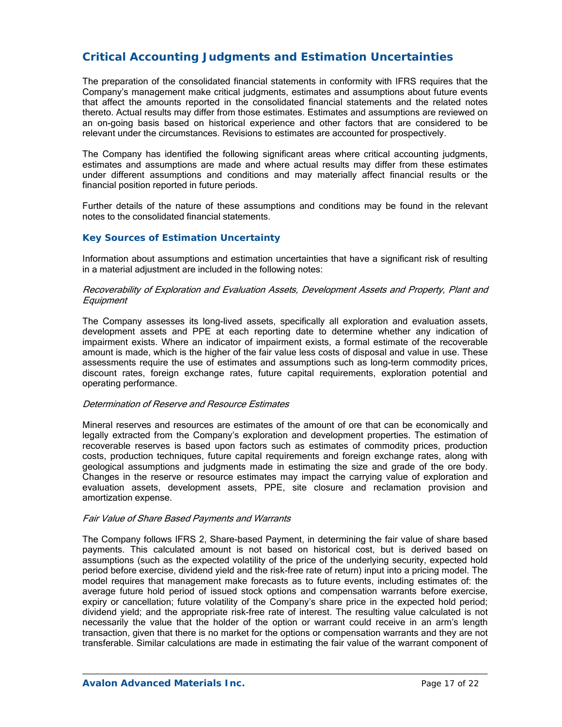# **Critical Accounting Judgments and Estimation Uncertainties**

The preparation of the consolidated financial statements in conformity with IFRS requires that the Company's management make critical judgments, estimates and assumptions about future events that affect the amounts reported in the consolidated financial statements and the related notes thereto. Actual results may differ from those estimates. Estimates and assumptions are reviewed on an on-going basis based on historical experience and other factors that are considered to be relevant under the circumstances. Revisions to estimates are accounted for prospectively.

The Company has identified the following significant areas where critical accounting judgments, estimates and assumptions are made and where actual results may differ from these estimates under different assumptions and conditions and may materially affect financial results or the financial position reported in future periods.

Further details of the nature of these assumptions and conditions may be found in the relevant notes to the consolidated financial statements.

### *Key Sources of Estimation Uncertainty*

Information about assumptions and estimation uncertainties that have a significant risk of resulting in a material adjustment are included in the following notes:

#### Recoverability of Exploration and Evaluation Assets, Development Assets and Property, Plant and **Equipment**

The Company assesses its long-lived assets, specifically all exploration and evaluation assets, development assets and PPE at each reporting date to determine whether any indication of impairment exists. Where an indicator of impairment exists, a formal estimate of the recoverable amount is made, which is the higher of the fair value less costs of disposal and value in use. These assessments require the use of estimates and assumptions such as long-term commodity prices, discount rates, foreign exchange rates, future capital requirements, exploration potential and operating performance.

### Determination of Reserve and Resource Estimates

Mineral reserves and resources are estimates of the amount of ore that can be economically and legally extracted from the Company's exploration and development properties. The estimation of recoverable reserves is based upon factors such as estimates of commodity prices, production costs, production techniques, future capital requirements and foreign exchange rates, along with geological assumptions and judgments made in estimating the size and grade of the ore body. Changes in the reserve or resource estimates may impact the carrying value of exploration and evaluation assets, development assets, PPE, site closure and reclamation provision and amortization expense.

#### Fair Value of Share Based Payments and Warrants

The Company follows IFRS 2, Share-based Payment, in determining the fair value of share based payments. This calculated amount is not based on historical cost, but is derived based on assumptions (such as the expected volatility of the price of the underlying security, expected hold period before exercise, dividend yield and the risk-free rate of return) input into a pricing model. The model requires that management make forecasts as to future events, including estimates of: the average future hold period of issued stock options and compensation warrants before exercise, expiry or cancellation; future volatility of the Company's share price in the expected hold period; dividend yield; and the appropriate risk-free rate of interest. The resulting value calculated is not necessarily the value that the holder of the option or warrant could receive in an arm's length transaction, given that there is no market for the options or compensation warrants and they are not transferable. Similar calculations are made in estimating the fair value of the warrant component of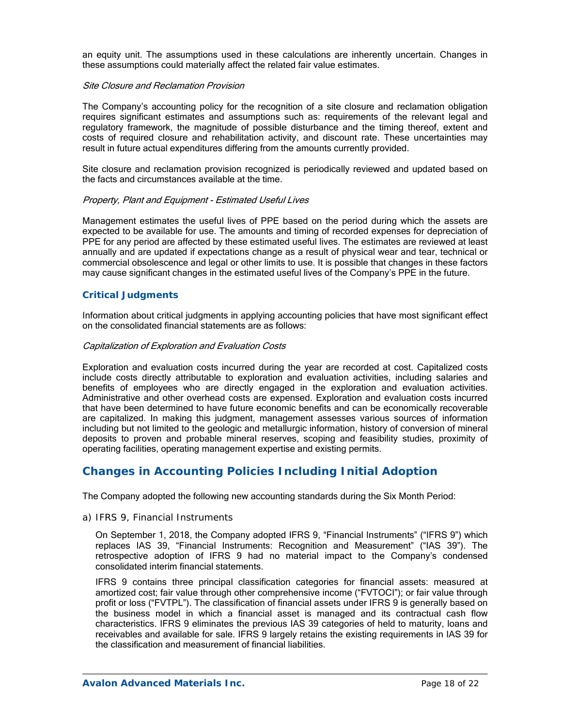an equity unit. The assumptions used in these calculations are inherently uncertain. Changes in these assumptions could materially affect the related fair value estimates.

### Site Closure and Reclamation Provision

The Company's accounting policy for the recognition of a site closure and reclamation obligation requires significant estimates and assumptions such as: requirements of the relevant legal and regulatory framework, the magnitude of possible disturbance and the timing thereof, extent and costs of required closure and rehabilitation activity, and discount rate. These uncertainties may result in future actual expenditures differing from the amounts currently provided.

Site closure and reclamation provision recognized is periodically reviewed and updated based on the facts and circumstances available at the time.

### Property, Plant and Equipment - Estimated Useful Lives

Management estimates the useful lives of PPE based on the period during which the assets are expected to be available for use. The amounts and timing of recorded expenses for depreciation of PPE for any period are affected by these estimated useful lives. The estimates are reviewed at least annually and are updated if expectations change as a result of physical wear and tear, technical or commercial obsolescence and legal or other limits to use. It is possible that changes in these factors may cause significant changes in the estimated useful lives of the Company's PPE in the future.

### *Critical Judgments*

Information about critical judgments in applying accounting policies that have most significant effect on the consolidated financial statements are as follows:

### Capitalization of Exploration and Evaluation Costs

Exploration and evaluation costs incurred during the year are recorded at cost. Capitalized costs include costs directly attributable to exploration and evaluation activities, including salaries and benefits of employees who are directly engaged in the exploration and evaluation activities. Administrative and other overhead costs are expensed. Exploration and evaluation costs incurred that have been determined to have future economic benefits and can be economically recoverable are capitalized. In making this judgment, management assesses various sources of information including but not limited to the geologic and metallurgic information, history of conversion of mineral deposits to proven and probable mineral reserves, scoping and feasibility studies, proximity of operating facilities, operating management expertise and existing permits.

# **Changes in Accounting Policies Including Initial Adoption**

The Company adopted the following new accounting standards during the Six Month Period:

### *a) IFRS 9, Financial Instruments*

On September 1, 2018, the Company adopted IFRS 9, "Financial Instruments" ("IFRS 9") which replaces IAS 39, "Financial Instruments: Recognition and Measurement" ("IAS 39"). The retrospective adoption of IFRS 9 had no material impact to the Company's condensed consolidated interim financial statements.

IFRS 9 contains three principal classification categories for financial assets: measured at amortized cost; fair value through other comprehensive income ("FVTOCI"); or fair value through profit or loss ("FVTPL"). The classification of financial assets under IFRS 9 is generally based on the business model in which a financial asset is managed and its contractual cash flow characteristics. IFRS 9 eliminates the previous IAS 39 categories of held to maturity, loans and receivables and available for sale. IFRS 9 largely retains the existing requirements in IAS 39 for the classification and measurement of financial liabilities.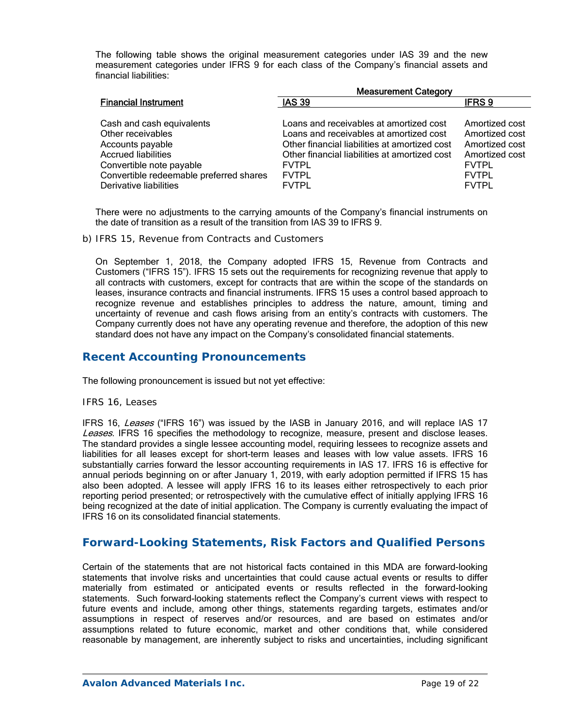The following table shows the original measurement categories under IAS 39 and the new measurement categories under IFRS 9 for each class of the Company's financial assets and financial liabilities:

|                                                                                                                                                                                                   | <b>Measurement Category</b>                                                                                                                                                                                                          |                                                                                                                      |  |  |  |  |  |
|---------------------------------------------------------------------------------------------------------------------------------------------------------------------------------------------------|--------------------------------------------------------------------------------------------------------------------------------------------------------------------------------------------------------------------------------------|----------------------------------------------------------------------------------------------------------------------|--|--|--|--|--|
| <b>Financial Instrument</b>                                                                                                                                                                       | <b>IAS 39</b>                                                                                                                                                                                                                        | <b>IFRS 9</b>                                                                                                        |  |  |  |  |  |
| Cash and cash equivalents<br>Other receivables<br>Accounts payable<br><b>Accrued liabilities</b><br>Convertible note payable<br>Convertible redeemable preferred shares<br>Derivative liabilities | Loans and receivables at amortized cost<br>Loans and receivables at amortized cost<br>Other financial liabilities at amortized cost<br>Other financial liabilities at amortized cost<br><b>FVTPL</b><br><b>FVTPL</b><br><b>FVTPL</b> | Amortized cost<br>Amortized cost<br>Amortized cost<br>Amortized cost<br><b>FVTPL</b><br><b>FVTPL</b><br><b>FVTPL</b> |  |  |  |  |  |

There were no adjustments to the carrying amounts of the Company's financial instruments on the date of transition as a result of the transition from IAS 39 to IFRS 9.

*b) IFRS 15, Revenue from Contracts and Customers* 

On September 1, 2018, the Company adopted IFRS 15, Revenue from Contracts and Customers ("IFRS 15"). IFRS 15 sets out the requirements for recognizing revenue that apply to all contracts with customers, except for contracts that are within the scope of the standards on leases, insurance contracts and financial instruments. IFRS 15 uses a control based approach to recognize revenue and establishes principles to address the nature, amount, timing and uncertainty of revenue and cash flows arising from an entity's contracts with customers. The Company currently does not have any operating revenue and therefore, the adoption of this new standard does not have any impact on the Company's consolidated financial statements.

## **Recent Accounting Pronouncements**

The following pronouncement is issued but not yet effective:

### *IFRS 16, Leases*

IFRS 16, Leases ("IFRS 16") was issued by the IASB in January 2016, and will replace IAS 17 Leases. IFRS 16 specifies the methodology to recognize, measure, present and disclose leases. The standard provides a single lessee accounting model, requiring lessees to recognize assets and liabilities for all leases except for short-term leases and leases with low value assets. IFRS 16 substantially carries forward the lessor accounting requirements in IAS 17. IFRS 16 is effective for annual periods beginning on or after January 1, 2019, with early adoption permitted if IFRS 15 has also been adopted. A lessee will apply IFRS 16 to its leases either retrospectively to each prior reporting period presented; or retrospectively with the cumulative effect of initially applying IFRS 16 being recognized at the date of initial application. The Company is currently evaluating the impact of IFRS 16 on its consolidated financial statements.

## **Forward-Looking Statements, Risk Factors and Qualified Persons**

Certain of the statements that are not historical facts contained in this MDA are forward-looking statements that involve risks and uncertainties that could cause actual events or results to differ materially from estimated or anticipated events or results reflected in the forward-looking statements. Such forward-looking statements reflect the Company's current views with respect to future events and include, among other things, statements regarding targets, estimates and/or assumptions in respect of reserves and/or resources, and are based on estimates and/or assumptions related to future economic, market and other conditions that, while considered reasonable by management, are inherently subject to risks and uncertainties, including significant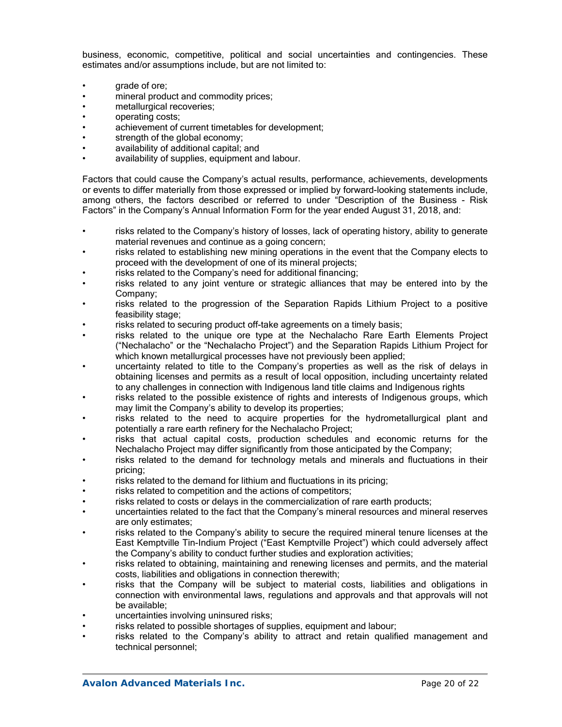business, economic, competitive, political and social uncertainties and contingencies. These estimates and/or assumptions include, but are not limited to:

- grade of ore;
- mineral product and commodity prices;
- metallurgical recoveries;
- operating costs;
- achievement of current timetables for development;
- strength of the global economy:
- availability of additional capital; and
- availability of supplies, equipment and labour.

Factors that could cause the Company's actual results, performance, achievements, developments or events to differ materially from those expressed or implied by forward-looking statements include, among others, the factors described or referred to under "Description of the Business - Risk Factors" in the Company's Annual Information Form for the year ended August 31, 2018, and:

- risks related to the Company's history of losses, lack of operating history, ability to generate material revenues and continue as a going concern;
- risks related to establishing new mining operations in the event that the Company elects to proceed with the development of one of its mineral projects;
- risks related to the Company's need for additional financing;
- risks related to any joint venture or strategic alliances that may be entered into by the Company;
- risks related to the progression of the Separation Rapids Lithium Project to a positive feasibility stage;
- risks related to securing product off-take agreements on a timely basis;
- risks related to the unique ore type at the Nechalacho Rare Earth Elements Project ("Nechalacho" or the "Nechalacho Project") and the Separation Rapids Lithium Project for which known metallurgical processes have not previously been applied;
- uncertainty related to title to the Company's properties as well as the risk of delays in obtaining licenses and permits as a result of local opposition, including uncertainty related to any challenges in connection with Indigenous land title claims and Indigenous rights
- risks related to the possible existence of rights and interests of Indigenous groups, which may limit the Company's ability to develop its properties;
- risks related to the need to acquire properties for the hydrometallurgical plant and potentially a rare earth refinery for the Nechalacho Project;
- risks that actual capital costs, production schedules and economic returns for the Nechalacho Project may differ significantly from those anticipated by the Company;
- risks related to the demand for technology metals and minerals and fluctuations in their pricing;
- risks related to the demand for lithium and fluctuations in its pricing;
- risks related to competition and the actions of competitors;
- risks related to costs or delays in the commercialization of rare earth products;
- uncertainties related to the fact that the Company's mineral resources and mineral reserves are only estimates;
- risks related to the Company's ability to secure the required mineral tenure licenses at the East Kemptville Tin-Indium Project ("East Kemptville Project") which could adversely affect the Company's ability to conduct further studies and exploration activities;
- risks related to obtaining, maintaining and renewing licenses and permits, and the material costs, liabilities and obligations in connection therewith;
- risks that the Company will be subject to material costs, liabilities and obligations in connection with environmental laws, regulations and approvals and that approvals will not be available;
- uncertainties involving uninsured risks;
- risks related to possible shortages of supplies, equipment and labour;
- risks related to the Company's ability to attract and retain qualified management and technical personnel;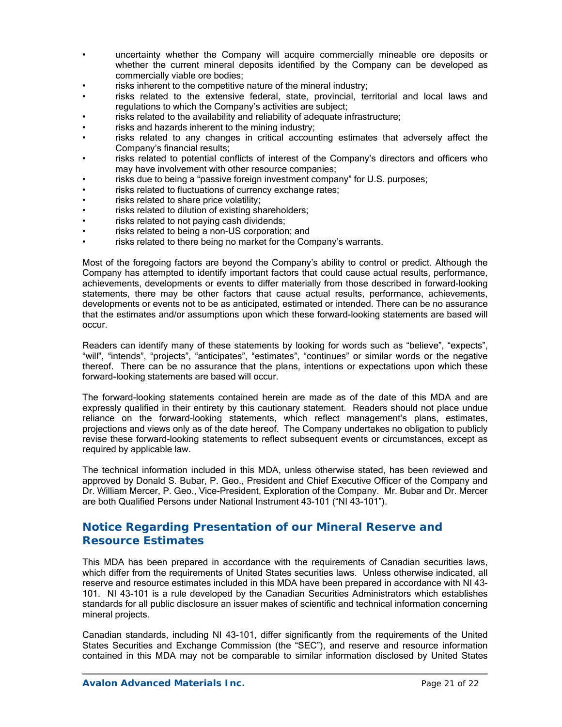- uncertainty whether the Company will acquire commercially mineable ore deposits or whether the current mineral deposits identified by the Company can be developed as commercially viable ore bodies;
- risks inherent to the competitive nature of the mineral industry;
- risks related to the extensive federal, state, provincial, territorial and local laws and regulations to which the Company's activities are subject;
- risks related to the availability and reliability of adequate infrastructure;
- risks and hazards inherent to the mining industry;
- risks related to any changes in critical accounting estimates that adversely affect the Company's financial results;
- risks related to potential conflicts of interest of the Company's directors and officers who may have involvement with other resource companies;
- risks due to being a "passive foreign investment company" for U.S. purposes;
- risks related to fluctuations of currency exchange rates;
- risks related to share price volatility;
- risks related to dilution of existing shareholders;
- risks related to not paying cash dividends;
- risks related to being a non-US corporation; and
- risks related to there being no market for the Company's warrants.

Most of the foregoing factors are beyond the Company's ability to control or predict. Although the Company has attempted to identify important factors that could cause actual results, performance, achievements, developments or events to differ materially from those described in forward-looking statements, there may be other factors that cause actual results, performance, achievements, developments or events not to be as anticipated, estimated or intended. There can be no assurance that the estimates and/or assumptions upon which these forward-looking statements are based will occur.

Readers can identify many of these statements by looking for words such as "believe", "expects", "will", "intends", "projects", "anticipates", "estimates", "continues" or similar words or the negative thereof. There can be no assurance that the plans, intentions or expectations upon which these forward-looking statements are based will occur.

The forward-looking statements contained herein are made as of the date of this MDA and are expressly qualified in their entirety by this cautionary statement. Readers should not place undue reliance on the forward-looking statements, which reflect management's plans, estimates, projections and views only as of the date hereof. The Company undertakes no obligation to publicly revise these forward-looking statements to reflect subsequent events or circumstances, except as required by applicable law.

The technical information included in this MDA, unless otherwise stated, has been reviewed and approved by Donald S. Bubar, P. Geo., President and Chief Executive Officer of the Company and Dr. William Mercer, P. Geo., Vice-President, Exploration of the Company. Mr. Bubar and Dr. Mercer are both Qualified Persons under National Instrument 43-101 ("NI 43-101").

# **Notice Regarding Presentation of our Mineral Reserve and Resource Estimates**

This MDA has been prepared in accordance with the requirements of Canadian securities laws, which differ from the requirements of United States securities laws. Unless otherwise indicated, all reserve and resource estimates included in this MDA have been prepared in accordance with NI 43- 101. NI 43-101 is a rule developed by the Canadian Securities Administrators which establishes standards for all public disclosure an issuer makes of scientific and technical information concerning mineral projects.

Canadian standards, including NI 43-101, differ significantly from the requirements of the United States Securities and Exchange Commission (the "SEC"), and reserve and resource information contained in this MDA may not be comparable to similar information disclosed by United States